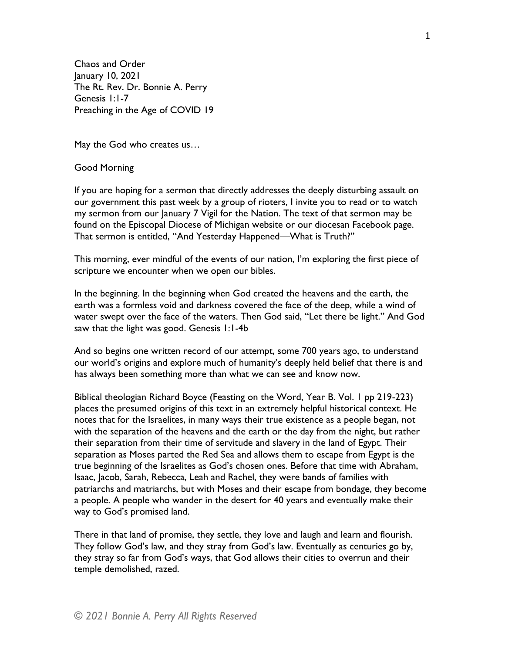Chaos and Order January 10, 2021 The Rt. Rev. Dr. Bonnie A. Perry Genesis 1:1-7 Preaching in the Age of COVID 19

May the God who creates us…

## Good Morning

If you are hoping for a sermon that directly addresses the deeply disturbing assault on our government this past week by a group of rioters, I invite you to read or to watch my sermon from our January 7 Vigil for the Nation. The text of that sermon may be found on the Episcopal Diocese of Michigan website or our diocesan Facebook page. That sermon is entitled, "And Yesterday Happened—What is Truth?"

This morning, ever mindful of the events of our nation, I'm exploring the first piece of scripture we encounter when we open our bibles.

In the beginning. In the beginning when God created the heavens and the earth, the earth was a formless void and darkness covered the face of the deep, while a wind of water swept over the face of the waters. Then God said, "Let there be light." And God saw that the light was good. Genesis 1:1-4b

And so begins one written record of our attempt, some 700 years ago, to understand our world's origins and explore much of humanity's deeply held belief that there is and has always been something more than what we can see and know now.

Biblical theologian Richard Boyce (Feasting on the Word, Year B. Vol. 1 pp 219-223) places the presumed origins of this text in an extremely helpful historical context. He notes that for the Israelites, in many ways their true existence as a people began, not with the separation of the heavens and the earth or the day from the night, but rather their separation from their time of servitude and slavery in the land of Egypt. Their separation as Moses parted the Red Sea and allows them to escape from Egypt is the true beginning of the Israelites as God's chosen ones. Before that time with Abraham, Isaac, Jacob, Sarah, Rebecca, Leah and Rachel, they were bands of families with patriarchs and matriarchs, but with Moses and their escape from bondage, they become a people. A people who wander in the desert for 40 years and eventually make their way to God's promised land.

There in that land of promise, they settle, they love and laugh and learn and flourish. They follow God's law, and they stray from God's law. Eventually as centuries go by, they stray so far from God's ways, that God allows their cities to overrun and their temple demolished, razed.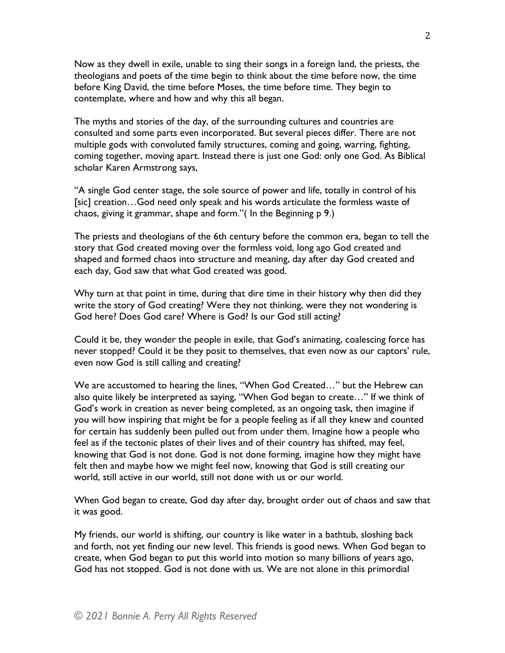Now as they dwell in exile, unable to sing their songs in a foreign land, the priests, the theologians and poets of the time begin to think about the time before now, the time before King David, the time before Moses, the time before time. They begin to contemplate, where and how and why this all began.

The myths and stories of the day, of the surrounding cultures and countries are consulted and some parts even incorporated. But several pieces differ. There are not multiple gods with convoluted family structures, coming and going, warring, fighting, coming together, moving apart. Instead there is just one God: only one God. As Biblical scholar Karen Armstrong says,

"A single God center stage, the sole source of power and life, totally in control of his [sic] creation…God need only speak and his words articulate the formless waste of chaos, giving it grammar, shape and form."( In the Beginning p 9.)

The priests and theologians of the 6th century before the common era, began to tell the story that God created moving over the formless void, long ago God created and shaped and formed chaos into structure and meaning, day after day God created and each day, God saw that what God created was good.

Why turn at that point in time, during that dire time in their history why then did they write the story of God creating? Were they not thinking, were they not wondering is God here? Does God care? Where is God? Is our God still acting?

Could it be, they wonder the people in exile, that God's animating, coalescing force has never stopped? Could it be they posit to themselves, that even now as our captors' rule, even now God is still calling and creating?

We are accustomed to hearing the lines, "When God Created…" but the Hebrew can also quite likely be interpreted as saying, "When God began to create…" If we think of God's work in creation as never being completed, as an ongoing task, then imagine if you will how inspiring that might be for a people feeling as if all they knew and counted for certain has suddenly been pulled out from under them. Imagine how a people who feel as if the tectonic plates of their lives and of their country has shifted, may feel, knowing that God is not done. God is not done forming, imagine how they might have felt then and maybe how we might feel now, knowing that God is still creating our world, still active in our world, still not done with us or our world.

When God began to create, God day after day, brought order out of chaos and saw that it was good.

My friends, our world is shifting, our country is like water in a bathtub, sloshing back and forth, not yet finding our new level. This friends is good news. When God began to create, when God began to put this world into motion so many billions of years ago, God has not stopped. God is not done with us. We are not alone in this primordial